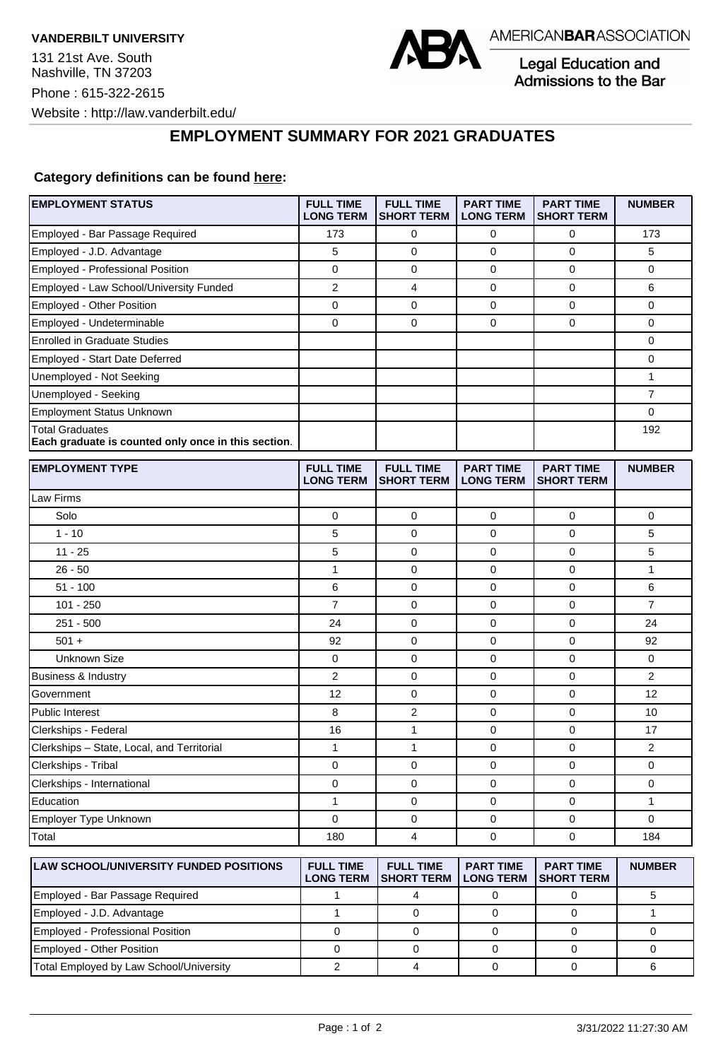

Legal Education and Admissions to the Bar

## **EMPLOYMENT SUMMARY FOR 2021 GRADUATES**

## **Category definitions can be found [here:](https://www.americanbar.org/content/dam/aba/administrative/legal_education_and_admissions_to_the_bar/Questionnaires/2021/2022-employment-protocols-for-the-class-of-2021-september-2021.pdf)**

| <b>EMPLOYMENT STATUS</b>                                                      | <b>FULL TIME</b><br><b>LONG TERM</b> | <b>FULL TIME</b><br><b>SHORT TERM</b> | <b>PART TIME</b><br><b>LONG TERM</b> | <b>PART TIME</b><br><b>SHORT TERM</b> | <b>NUMBER</b>  |
|-------------------------------------------------------------------------------|--------------------------------------|---------------------------------------|--------------------------------------|---------------------------------------|----------------|
| Employed - Bar Passage Required                                               | 173                                  | 0                                     | 0                                    | 0                                     | 173            |
| Employed - J.D. Advantage                                                     | 5                                    | 0                                     | 0                                    | $\mathbf 0$                           | 5              |
| Employed - Professional Position                                              | 0                                    | 0                                     | 0                                    | $\mathbf 0$                           | 0              |
| Employed - Law School/University Funded                                       | 2                                    | 4                                     | 0                                    | 0                                     | 6              |
| Employed - Other Position                                                     | 0                                    | $\mathbf 0$                           | 0                                    | $\mathbf 0$                           | 0              |
| Employed - Undeterminable                                                     | 0                                    | 0                                     | 0                                    | 0                                     | 0              |
| <b>Enrolled in Graduate Studies</b>                                           |                                      |                                       |                                      |                                       | 0              |
| Employed - Start Date Deferred                                                |                                      |                                       |                                      |                                       | 0              |
| Unemployed - Not Seeking                                                      |                                      |                                       |                                      |                                       | 1              |
| Unemployed - Seeking                                                          |                                      |                                       |                                      |                                       | $\overline{7}$ |
| <b>Employment Status Unknown</b>                                              |                                      |                                       |                                      |                                       | 0              |
| <b>Total Graduates</b><br>Each graduate is counted only once in this section. |                                      |                                       |                                      |                                       | 192            |
| <b>EMPLOYMENT TYPE</b>                                                        | <b>FULL TIME</b><br><b>LONG TERM</b> | <b>FULL TIME</b><br><b>SHORT TERM</b> | <b>PART TIME</b><br><b>LONG TERM</b> | <b>PART TIME</b><br><b>SHORT TERM</b> | <b>NUMBER</b>  |
| Law Firms                                                                     |                                      |                                       |                                      |                                       |                |
| Solo                                                                          | 0                                    | 0                                     | 0                                    | 0                                     | 0              |
| $1 - 10$                                                                      | 5                                    | 0                                     | 0                                    | 0                                     | 5              |
| $11 - 25$                                                                     | 5                                    | 0                                     | 0                                    | 0                                     | 5              |
| $26 - 50$                                                                     | 1                                    | $\mathbf 0$                           | 0                                    | $\mathbf 0$                           | 1              |
| $51 - 100$                                                                    | 6                                    | $\mathbf 0$                           | 0                                    | $\mathbf 0$                           | 6              |
| $101 - 250$                                                                   | 7                                    | 0                                     | 0                                    | 0                                     | $\overline{7}$ |
| $251 - 500$                                                                   | 24                                   | 0                                     | 0                                    | 0                                     | 24             |
| $501 +$                                                                       | 92                                   | 0                                     | 0                                    | 0                                     | 92             |
| Unknown Size                                                                  | 0                                    | $\mathbf 0$                           | 0                                    | $\mathbf 0$                           | 0              |
| <b>Business &amp; Industry</b>                                                | 2                                    | $\mathbf 0$                           | 0                                    | $\mathbf 0$                           | 2              |
| Government                                                                    | 12                                   | 0                                     | 0                                    | 0                                     | 12             |
| <b>Public Interest</b>                                                        | 8                                    | 2                                     | 0                                    | 0                                     | 10             |
| Clerkships - Federal                                                          | 16                                   | 1                                     | 0                                    | $\mathbf 0$                           | 17             |
| Clerkships - State, Local, and Territorial                                    | $\mathbf{1}$                         | $\mathbf{1}$                          | 0                                    | $\mathbf 0$                           | 2              |
| Clerkships - Tribal                                                           | 0                                    | 0                                     | 0                                    | 0                                     | 0              |
| Clerkships - International                                                    | 0                                    | $\mathbf 0$                           | 0                                    | $\mathbf 0$                           | 0              |
| Education                                                                     | 1                                    | 0                                     | 0                                    | 0                                     | 1              |
| Employer Type Unknown                                                         | 0                                    | 0                                     | 0                                    | 0                                     | 0              |
| Total                                                                         | 180                                  | 4                                     | 0                                    | 0                                     | 184            |
| LAW SCHOOL/UNIVERSITY FUNDED POSITIONS                                        | <b>FULL TIME</b><br><b>LONG TERM</b> | <b>FULL TIME</b><br><b>SHORT TERM</b> | <b>PART TIME</b><br><b>LONG TERM</b> | <b>PART TIME</b><br><b>SHORT TERM</b> | <b>NUMBER</b>  |
| Employed - Bar Passage Required                                               | 1                                    | $\overline{4}$                        | $\pmb{0}$                            | $\mathsf 0$                           | 5              |

Employed - J.D. Advantage 1 0 0 0 1 Employed - Professional Position 0 0 0 0 0 Employed - Other Position 0 0 0 0 0 Total Employed by Law School/University <br>
a 2 4 0 0 0 6